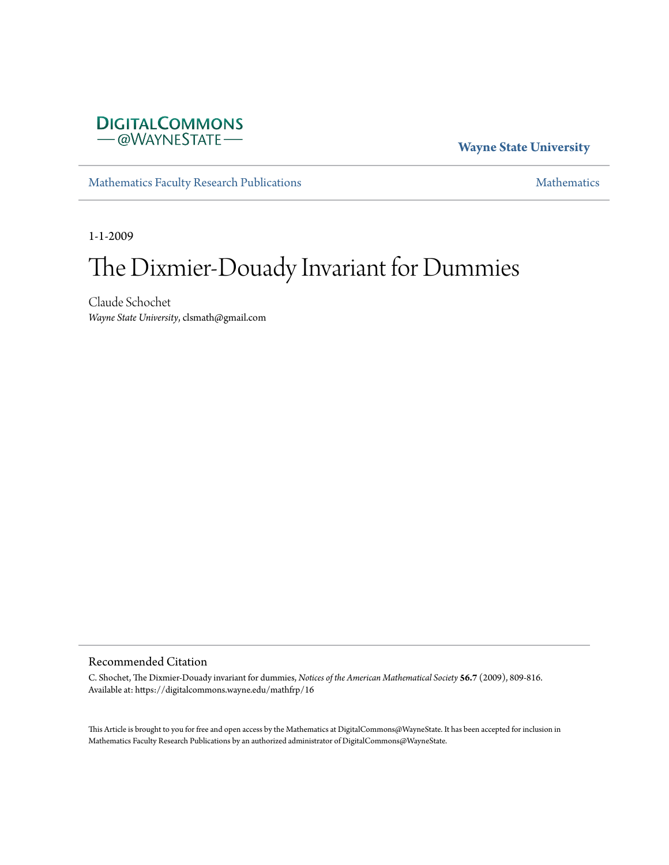

**Wayne State University**

[Mathematics Faculty Research Publications](https://digitalcommons.wayne.edu/mathfrp) **[Mathematics](https://digitalcommons.wayne.edu/math)** Mathematics

1-1-2009

### The Dixmier-Douady Invariant for Dummies

Claude Schochet *Wayne State University*, clsmath@gmail.com

#### Recommended Citation

C. Shochet, The Dixmier-Douady invariant for dummies, *Notices of the American Mathematical Society* **56.7** (2009), 809-816. Available at: https://digitalcommons.wayne.edu/mathfrp/16

This Article is brought to you for free and open access by the Mathematics at DigitalCommons@WayneState. It has been accepted for inclusion in Mathematics Faculty Research Publications by an authorized administrator of DigitalCommons@WayneState.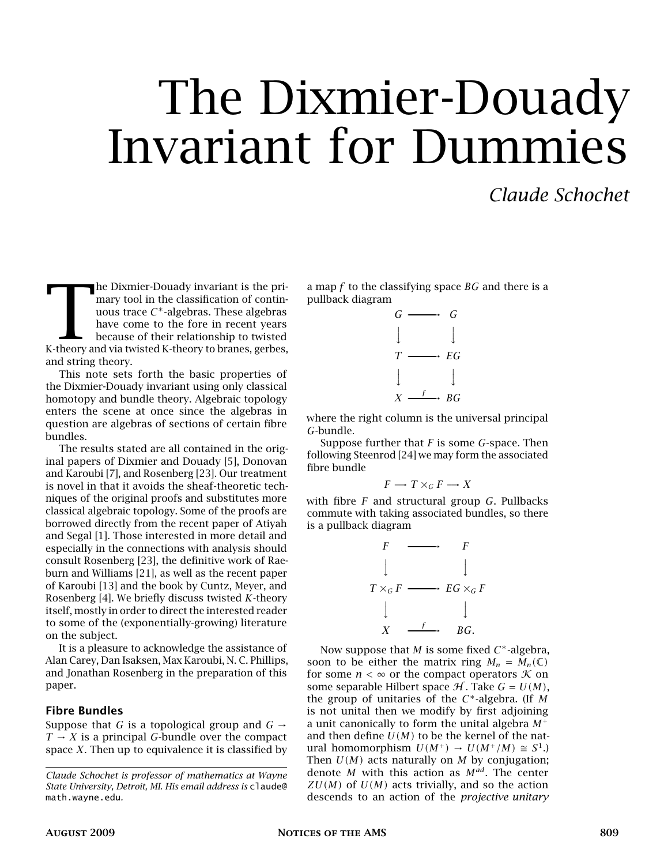## The Dixmier-Douady Invariant for Dummies

#### *Claude Schochet*

The Dixmier-Douady invariant is the primary tool in the classification of continuous trace  $C^*$ -algebras. These algebras have come to the fore in recent years because of their relationship to twisted K-theory and via twi he Dixmier-Douady invariant is the primary tool in the classification of continuous trace *C* <sup>∗</sup>-algebras. These algebras have come to the fore in recent years because of their relationship to twisted and string theory.

This note sets forth the basic properties of the Dixmier-Douady invariant using only classical homotopy and bundle theory. Algebraic topology enters the scene at once since the algebras in question are algebras of sections of certain fibre bundles.

The results stated are all contained in the original papers of Dixmier and Douady [5], Donovan and Karoubi [7], and Rosenberg [23]. Our treatment is novel in that it avoids the sheaf-theoretic techniques of the original proofs and substitutes more classical algebraic topology. Some of the proofs are borrowed directly from the recent paper of Atiyah and Segal [1]. Those interested in more detail and especially in the connections with analysis should consult Rosenberg [23], the definitive work of Raeburn and Williams [21], as well as the recent paper of Karoubi [13] and the book by Cuntz, Meyer, and Rosenberg [4]. We briefly discuss twisted *K*-theory itself, mostly in order to direct the interested reader to some of the (exponentially-growing) literature on the subject.

It is a pleasure to acknowledge the assistance of Alan Carey, Dan Isaksen, Max Karoubi, N. C. Phillips, and Jonathan Rosenberg in the preparation of this paper.

#### Fibre Bundles

Suppose that *G* is a topological group and  $G \rightarrow$  $T \rightarrow X$  is a principal *G*-bundle over the compact space *X*. Then up to equivalence it is classified by

a map *f* to the classifying space *BG* and there is a pullback diagram



where the right column is the universal principal *G*-bundle.

Suppose further that *F* is some *G*-space. Then following Steenrod [24] we may form the associated fibre bundle

$$
F \longrightarrow T \times_G F \longrightarrow X
$$

with fibre *F* and structural group *G*. Pullbacks commute with taking associated bundles, so there is a pullback diagram

$$
F \longrightarrow F
$$
  
\n
$$
T \times_G F \longrightarrow EG \times_G F
$$
  
\n
$$
\downarrow \qquad \qquad \downarrow
$$
  
\n
$$
X \longrightarrow G
$$
  
\n
$$
BG.
$$

Now suppose that *M* is some fixed *C* <sup>∗</sup>-algebra, soon to be either the matrix ring  $M_n = M_n(\mathbb{C})$ for some  $n < \infty$  or the compact operators  $K$  on some separable Hilbert space  $H$ . Take  $G = U(M)$ , the group of unitaries of the *C* <sup>∗</sup>-algebra. (If *M* is not unital then we modify by first adjoining a unit canonically to form the unital algebra *M*<sup>+</sup> and then define  $U(M)$  to be the kernel of the natural homomorphism  $U(M^+) \rightarrow U(M^+/M) \cong S^1$ .) Then  $U(M)$  acts naturally on  $M$  by conjugation; denote *M* with this action as *Mad*. The center  $ZU(M)$  of  $U(M)$  acts trivially, and so the action descends to an action of the *projective unitary*

*Claude Schochet is professor of mathematics at Wayne State University, Detroit, MI. His email address is* claude@ math.wayne.edu*.*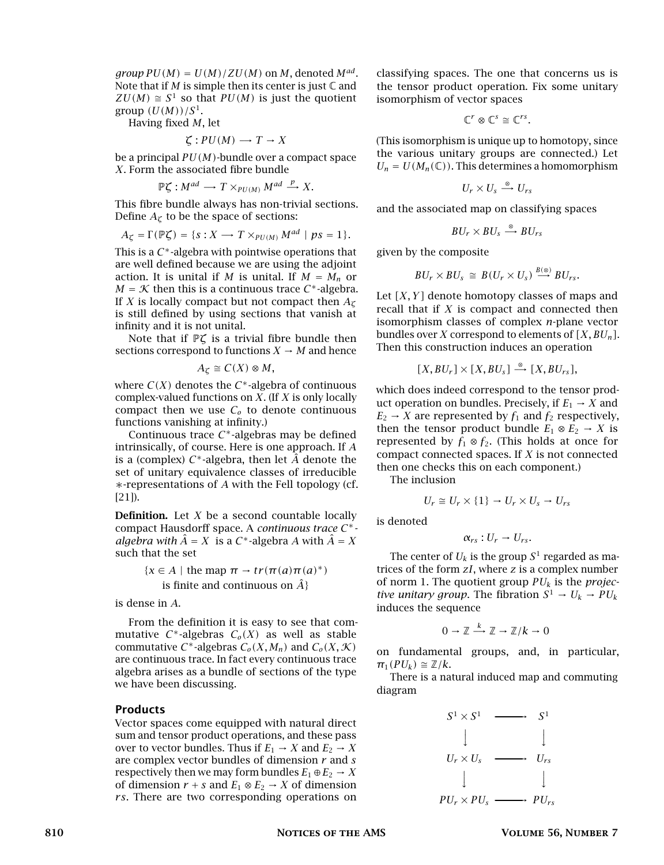$group PU(M) = U(M)/ZU(M)$  on M, denoted  $M^{ad}$ . Note that if  $M$  is simple then its center is just  $\mathbb C$  and  $ZU(M) \cong S^1$  so that  $PU(M)$  is just the quotient group  $(U(M))/S^1$ .

Having fixed *M*, let

$$
\zeta:PU(M)\longrightarrow T\to X
$$

be a principal *PU(M)*-bundle over a compact space *X*. Form the associated fibre bundle

$$
\mathbb{P}\zeta: M^{ad} \longrightarrow T \times_{PU(M)} M^{ad} \stackrel{p}{\longrightarrow} X.
$$

This fibre bundle always has non-trivial sections. Define  $A_\zeta$  to be the space of sections:

$$
A_{\zeta} = \Gamma(\mathbb{P}\zeta) = \{s: X \longrightarrow T \times_{PU(M)} M^{ad} \mid ps = 1\}.
$$

This is a *C* <sup>∗</sup>-algebra with pointwise operations that are well defined because we are using the adjoint action. It is unital if *M* is unital. If  $M = M_n$  or  $M = K$  then this is a continuous trace  $C^*$ -algebra. If *X* is locally compact but not compact then *A<sup>ζ</sup>* is still defined by using sections that vanish at infinity and it is not unital.

Note that if P*ζ* is a trivial fibre bundle then sections correspond to functions  $X \to M$  and hence

$$
A_{\zeta} \cong C(X) \otimes M,
$$

where  $C(X)$  denotes the  $C^*$ -algebra of continuous complex-valued functions on *X*. (If *X* is only locally compact then we use  $C<sub>o</sub>$  to denote continuous functions vanishing at infinity.)

Continuous trace *C* <sup>∗</sup>-algebras may be defined intrinsically, of course. Here is one approach. If *A* is a (complex) *C* <sup>∗</sup>-algebra, then let *A*ˆ denote the set of unitary equivalence classes of irreducible ∗-representations of *A* with the Fell topology (cf. [21]).

Definition. Let *X* be a second countable locally compact Hausdorff space. A *continuous trace C* ∗ *algebra with*  $\hat{A} = X$  is a  $C^*$ -algebra *A* with  $\hat{A} = X$ such that the set

> ${x \in A | \text{ the map } \pi \to tr(\pi(a)\pi(a)^*)}$ is finite and continuous on  $\hat{A}$ <sup>}</sup>

is dense in *A*.

From the definition it is easy to see that commutative  $C^*$ -algebras  $C_o(X)$  as well as stable commutative *C*<sup>\*</sup>-algebras  $C_o(X, M_n)$  and  $C_o(X, \mathcal{K})$ are continuous trace. In fact every continuous trace algebra arises as a bundle of sections of the type we have been discussing.

#### Products

Vector spaces come equipped with natural direct sum and tensor product operations, and these pass over to vector bundles. Thus if  $E_1 \rightarrow X$  and  $E_2 \rightarrow X$ are complex vector bundles of dimension *r* and *s* respectively then we may form bundles  $E_1 \oplus E_2 \rightarrow X$ of dimension  $r + s$  and  $E_1 \otimes E_2 \rightarrow X$  of dimension *rs*. There are two corresponding operations on classifying spaces. The one that concerns us is the tensor product operation. Fix some unitary isomorphism of vector spaces

$$
\mathbb{C}^r \otimes \mathbb{C}^s \cong \mathbb{C}^{rs}.
$$

(This isomorphism is unique up to homotopy, since the various unitary groups are connected.) Let  $U_n = U(M_n(\mathbb{C}))$ . This determines a homomorphism

$$
U_r \times U_s \stackrel{\otimes}{\longrightarrow} U_{rs}
$$

and the associated map on classifying spaces

$$
BU_r \times BU_s \stackrel{\otimes}{\longrightarrow} BU_{rs}
$$

given by the composite

$$
BU_r \times BU_s \cong B(U_r \times U_s) \stackrel{B(\otimes)}{\longrightarrow} BU_{rs}.
$$

Let *[X, Y ]* denote homotopy classes of maps and recall that if *X* is compact and connected then isomorphism classes of complex *n*-plane vector bundles over *X* correspond to elements of *[X, BUn]*. Then this construction induces an operation

$$
[X, BUr] \times [X, BUs] \stackrel{\otimes}{\longrightarrow} [X, BUrs],
$$

which does indeed correspond to the tensor product operation on bundles. Precisely, if  $E_1 \rightarrow X$  and  $E_2 \rightarrow X$  are represented by  $f_1$  and  $f_2$  respectively, then the tensor product bundle  $E_1 \otimes E_2 \rightarrow X$  is represented by  $f_1 \otimes f_2$ . (This holds at once for compact connected spaces. If *X* is not connected then one checks this on each component.)

The inclusion

$$
U_r \cong U_r \times \{1\} \to U_r \times U_s \to U_{rs}
$$

is denoted

$$
\alpha_{rs}:U_r\to U_{rs}.
$$

The center of  $U_k$  is the group  $S^1$  regarded as matrices of the form *zI*, where *z* is a complex number of norm 1. The quotient group *PU<sup>k</sup>* is the *projective unitary group.* The fibration  $S^1 \rightarrow U_k \rightarrow PU_k$ induces the sequence

$$
0 \to \mathbb{Z} \xrightarrow{k} \mathbb{Z} \to \mathbb{Z}/k \to 0
$$

on fundamental groups, and, in particular,  $\pi_1(PU_k) \cong \mathbb{Z}/k$ .

There is a natural induced map and commuting diagram

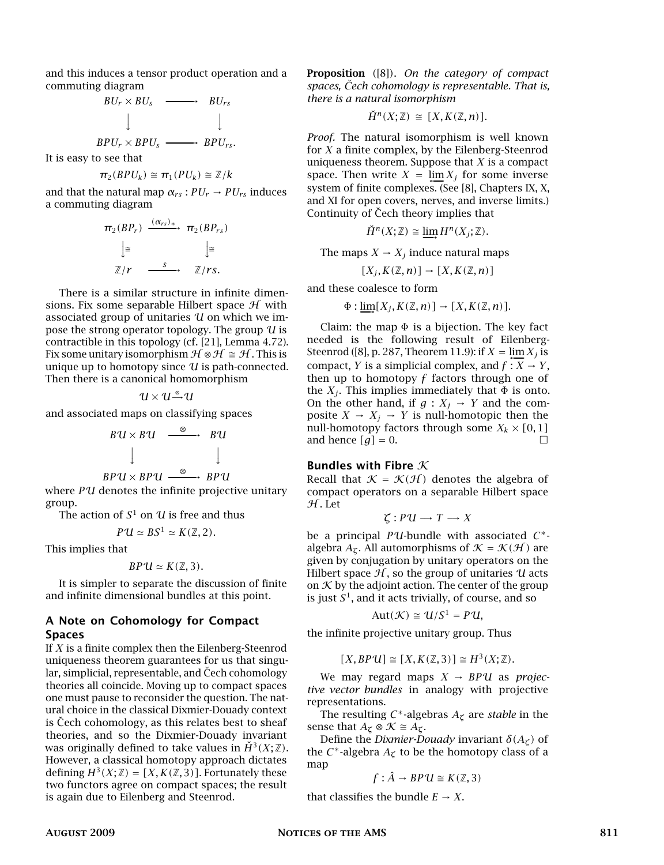and this induces a tensor product operation and a commuting diagram

> *BU<sup>r</sup>* × *BU<sup>s</sup>* ---------------------------------→ *BUr s*  $\downarrow$  $\downarrow$ *BPU<sup>r</sup>* × *BPU<sup>s</sup>* ---------------------------------→ *BPUr s .*

It is easy to see that

$$
\pi_2(BPU_k) \cong \pi_1(PU_k) \cong \mathbb{Z}/k
$$

and that the natural map  $\alpha_{rs}$ :  $PU_r \rightarrow PU_{rs}$  induces a commuting diagram

$$
\pi_2(BP_r) \xrightarrow{(\alpha_{rs})_*} \pi_2(BP_{rs})
$$

$$
\downarrow \cong \qquad \qquad \downarrow \cong
$$

$$
\mathbb{Z}/r \xrightarrow{s} \qquad \mathbb{Z}/rs.
$$

There is a similar structure in infinite dimensions. Fix some separable Hilbert space  $H$  with associated group of unitaries  $U$  on which we impose the strong operator topology. The group  $U$  is contractible in this topology (cf. [21], Lemma 4.72). Fix some unitary isomorphism  $\mathcal{H} \otimes \mathcal{H} \cong \mathcal{H}$ . This is unique up to homotopy since  $U$  is path-connected. Then there is a canonical homomorphism

$$
u\!\times\!u\!\rightharpoonup\! u
$$

and associated maps on classifying spaces

$$
BU \times BU \xrightarrow{\otimes} BU
$$
  

$$
\downarrow \qquad \qquad \downarrow
$$
  

$$
BPU \times BPU \xrightarrow{\otimes} BPU
$$

where *P*U denotes the infinite projective unitary group.

The action of  $S^1$  on  $\mathcal U$  is free and thus

 $P'U \simeq BS^1 \simeq K(\mathbb{Z}, 2)$ .

This implies that

$$
BPU \simeq K(\mathbb{Z}, 3).
$$

It is simpler to separate the discussion of finite and infinite dimensional bundles at this point.

#### A Note on Cohomology for Compact Spaces

If *X* is a finite complex then the Eilenberg-Steenrod uniqueness theorem guarantees for us that singular, simplicial, representable, and Čech cohomology theories all coincide. Moving up to compact spaces one must pause to reconsider the question. The natural choice in the classical Dixmier-Douady context is Cech cohomology, as this relates best to sheaf theories, and so the Dixmier-Douady invariant was originally defined to take values in  $\check{H}^3(X;\mathbb{Z})$ . However, a classical homotopy approach dictates defining  $H^3(X; \mathbb{Z}) = [X, K(\mathbb{Z}, 3)]$ . Fortunately these two functors agree on compact spaces; the result is again due to Eilenberg and Steenrod.

Proposition *(*[8]*)*. *On the category of compact spaces, Cech cohomology is representable. That is, ˇ there is a natural isomorphism*

$$
\check{H}^n(X;\mathbb{Z}) \cong [X, K(\mathbb{Z}, n)].
$$

*Proof.* The natural isomorphism is well known for *X* a finite complex, by the Eilenberg-Steenrod uniqueness theorem. Suppose that *X* is a compact space. Then write  $X = \lim_{n \to \infty} X_j$  for some inverse system of finite complexes. (See [8], Chapters IX, X, and XI for open covers, nerves, and inverse limits.) Continuity of Cech theory implies that

$$
\check{H}^n(X;\mathbb{Z}) \cong \varinjlim H^n(X_j;\mathbb{Z}).
$$

The maps  $X \to X_i$  induce natural maps

$$
[X_j, K(\mathbb{Z}, n)] \to [X, K(\mathbb{Z}, n)]
$$

and these coalesce to form

$$
\Phi: \underline{\lim}[X_j, K(\mathbb{Z}, n)] \to [X, K(\mathbb{Z}, n)].
$$

Claim: the map  $\Phi$  is a bijection. The key fact needed is the following result of Eilenberg-Steenrod ([8], p. 287, Theorem 11.9): if  $X = \lim_{x \to -\infty} X_j$  is compact, *Y* is a simplicial complex, and  $f: X \to Y$ , then up to homotopy *f* factors through one of the  $X_j$ . This implies immediately that  $\Phi$  is onto. On the other hand, if  $g: X_j \to Y$  and the composite  $X \to X_j \to Y$  is null-homotopic then the null-homotopy factors through some  $X_k \times [0,1]$ and hence  $[g] = 0$ .

#### Bundles with Fibre  $K$

Recall that  $K = \mathcal{K}(\mathcal{H})$  denotes the algebra of compact operators on a separable Hilbert space  $H.$  Let

$$
\zeta: P U \longrightarrow T \longrightarrow X
$$

be a principal *P*U-bundle with associated *C* ∗ algebra  $A_{\mathcal{L}}$ . All automorphisms of  $\mathcal{K} = \mathcal{K}(\mathcal{H})$  are given by conjugation by unitary operators on the Hilbert space  $H$ , so the group of unitaries  $U$  acts on  $\mathcal K$  by the adjoint action. The center of the group is just  $S^1$ , and it acts trivially, of course, and so

$$
Aut(\mathcal{K}) \cong U/S^1 = P U,
$$

the infinite projective unitary group. Thus

$$
[X, BPU] \cong [X, K(\mathbb{Z}, 3)] \cong H^3(X; \mathbb{Z}).
$$

We may regard maps  $X \rightarrow BPU$  as *projective vector bundles* in analogy with projective representations.

The resulting *C* <sup>∗</sup>-algebras *A<sup>ζ</sup>* are *stable* in the sense that  $A_{\zeta} \otimes \mathcal{K} \cong A_{\zeta}$ .

Define the *Dixmier-Douady* invariant  $\delta(A_\zeta)$  of the  $C^*$ -algebra  $A_\zeta$  to be the homotopy class of a map

$$
f: \hat{A} \to BPU \cong K(\mathbb{Z}, 3)
$$

that classifies the bundle  $E \rightarrow X$ .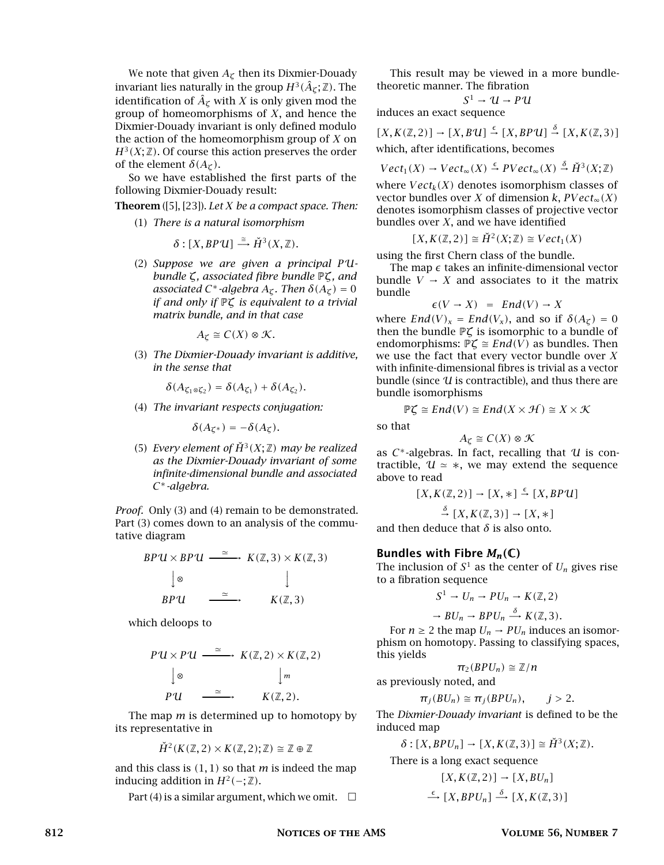We note that given *A<sup>ζ</sup>* then its Dixmier-Douady invariant lies naturally in the group  $H^3(\hat{A}_\mathcal{C};\mathbb{Z}).$  The identification of  $\hat{A}_{\zeta}$  with *X* is only given mod the group of homeomorphisms of *X*, and hence the Dixmier-Douady invariant is only defined modulo the action of the homeomorphism group of *X* on  $H^3(X;\mathbb{Z})$ . Of course this action preserves the order of the element  $\delta(A_\mathcal{I})$ .

So we have established the first parts of the following Dixmier-Douady result:

Theorem ([5], [23]). *Let X be a compact space. Then:*

(1) *There is a natural isomorphism*

$$
\delta : [X, BPU] \stackrel{\cong}{\longrightarrow} \check{H}^3(X, \mathbb{Z}).
$$

(2) *Suppose we are given a principal P*U*bundle ζ, associated fibre bundle* P*ζ, and associated*  $C^*$ -*algebra*  $A_\zeta$ *. Then*  $\delta(A_\zeta) = 0$ *if and only if* P*ζ is equivalent to a trivial matrix bundle, and in that case*

 $A_{\mathcal{C}} \cong C(X) \otimes \mathcal{K}$ .

(3) *The Dixmier-Douady invariant is additive, in the sense that*

$$
\delta(A_{\zeta_1\otimes\zeta_2})=\delta(A_{\zeta_1})+\delta(A_{\zeta_2}).
$$

(4) *The invariant respects conjugation:*

$$
\delta(A_{\zeta^*})=-\delta(A_{\zeta}).
$$

(5) *Every element of*  $\check{H}^3(X;\mathbb{Z})$  *may be realized as the Dixmier-Douady invariant of some infinite-dimensional bundle and associated C* <sup>∗</sup>*-algebra.*

*Proof.* Only (3) and (4) remain to be demonstrated. Part (3) comes down to an analysis of the commutative diagram

$$
BPU \times BPU \xrightarrow{\simeq} K(\mathbb{Z}, 3) \times K(\mathbb{Z}, 3)
$$
  

$$
\downarrow \otimes \qquad \qquad \downarrow
$$
  

$$
BPU \xrightarrow{\simeq} K(\mathbb{Z}, 3)
$$

which deloops to

$$
PU \times PU \xrightarrow{\simeq} K(\mathbb{Z}, 2) \times K(\mathbb{Z}, 2)
$$
  
\n
$$
\downarrow \otimes \qquad \qquad \downarrow m
$$
  
\n
$$
PU \xrightarrow{\simeq} K(\mathbb{Z}, 2).
$$

The map *m* is determined up to homotopy by its representative in

$$
\check{H}^2(K(\mathbb{Z}, 2) \times K(\mathbb{Z}, 2); \mathbb{Z}) \cong \mathbb{Z} \oplus \mathbb{Z}
$$

and this class is *(*1*,* 1*)* so that *m* is indeed the map inducing addition in  $H^2(-;\mathbb{Z})$ .

Part (4) is a similar argument, which we omit.  $\square$ 

This result may be viewed in a more bundletheoretic manner. The fibration

$$
S^1 \to U \to P U
$$

induces an exact sequence

 $[X, K(\mathbb{Z}, 2)] \rightarrow [X, B\mathcal{U}] \stackrel{\epsilon}{\rightarrow} [X, BP\mathcal{U}] \stackrel{\delta}{\rightarrow} [X, K(\mathbb{Z}, 3)]$ which, after identifications, becomes

$$
Vect_1(X) \to Vect_{\infty}(X) \stackrel{\epsilon}{\to} PVect_{\infty}(X) \stackrel{\delta}{\to} \check{H}^3(X; \mathbb{Z})
$$

where  $Vect_k(X)$  denotes isomorphism classes of vector bundles over *X* of dimension *k*,  $PVect_{\infty}(X)$ denotes isomorphism classes of projective vector bundles over *X*, and we have identified

$$
[X, K(\mathbb{Z}, 2)] \cong \check{H}^2(X; \mathbb{Z}) \cong Vect_1(X)
$$

using the first Chern class of the bundle.

The map  $\epsilon$  takes an infinite-dimensional vector bundle  $V \rightarrow X$  and associates to it the matrix bundle

$$
\epsilon(V \to X) = End(V) \to X
$$

where  $End(V)_x = End(V_x)$ , and so if  $\delta(A_\zeta) = 0$ then the bundle P*ζ* is isomorphic to a bundle of endomorphisms:  $\mathbb{P}\zeta \cong End(V)$  as bundles. Then we use the fact that every vector bundle over *X* with infinite-dimensional fibres is trivial as a vector bundle (since  $U$  is contractible), and thus there are bundle isomorphisms

$$
\mathbb{P}\zeta \cong End(V) \cong End(X \times \mathcal{H}) \cong X \times \mathcal{K}
$$

so that

 $A_{\mathcal{C}} \cong C(X) \otimes \mathcal{K}$ 

as  $C^*$ -algebras. In fact, recalling that  $U$  is contractible,  $U \approx *,$  we may extend the sequence above to read

$$
[X, K(\mathbb{Z}, 2)] \rightarrow [X, *] \stackrel{\epsilon}{\rightarrow} [X, BPU]
$$

$$
\stackrel{\delta}{\rightarrow} [X, K(\mathbb{Z}, 3)] \rightarrow [X, *]
$$

and then deduce that  $\delta$  is also onto.

#### Bundles with Fibre *Mn(*C*)*

The inclusion of  $S^1$  as the center of  $U_n$  gives rise to a fibration sequence

$$
S^1 \to U_n \to PU_n \to K(\mathbb{Z}, 2)
$$

 $\rightarrow BU_n \rightarrow BPU_n \stackrel{\delta}{\rightarrow} K(\mathbb{Z}, 3).$ 

For  $n \geq 2$  the map  $U_n \rightarrow PU_n$  induces an isomorphism on homotopy. Passing to classifying spaces, this yields

$$
\pi_2(BPU_n) \cong \mathbb{Z}/n
$$
 as previously noted, and

$$
\pi_j(BU_n) \cong \pi_j(BPU_n), \qquad j > 2
$$

The *Dixmier-Douady invariant* is defined to be the induced map

$$
\delta : [X, BPU_n] \to [X, K(\mathbb{Z}, 3)] \cong \check{H}^3(X; \mathbb{Z}).
$$

There is a long exact sequence

$$
[X, K(\mathbb{Z}, 2)] \to [X, BU_n]
$$
  

$$
\xrightarrow{\epsilon} [X, BPU_n] \xrightarrow{\delta} [X, K(\mathbb{Z}, 3)]
$$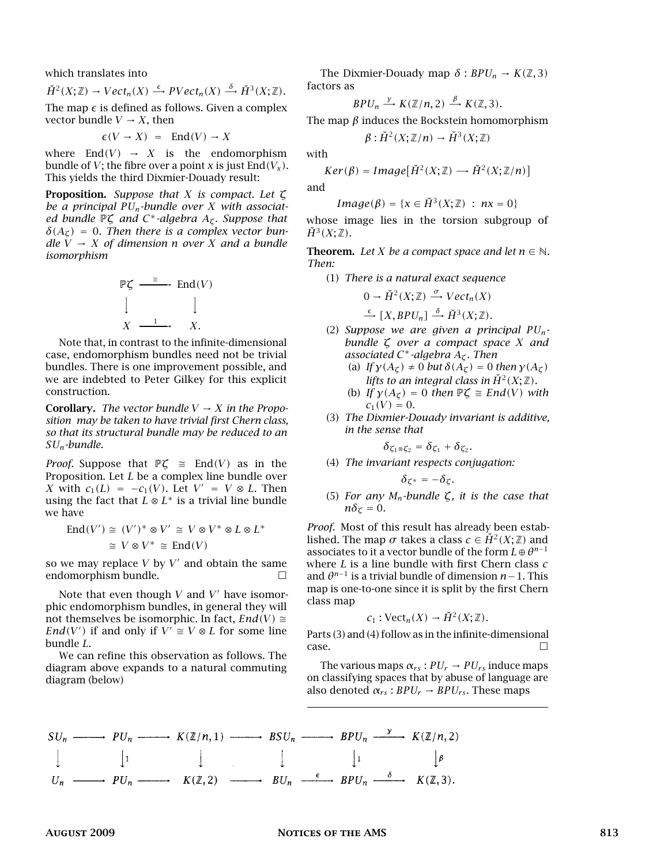which translates into

$$
\check{H}^{2}(X;\mathbb{Z}) \to Vect_n(X) \stackrel{\epsilon}{\longrightarrow} PVect_n(X) \stackrel{\delta}{\longrightarrow} \check{H}^{3}(X;\mathbb{Z}).
$$

The map  $\epsilon$  is defined as follows. Given a complex vector bundle  $V \rightarrow X$ , then

$$
\epsilon(V \to X) = \text{End}(V) \to X
$$

where  $End(V) \rightarrow X$  is the endomorphism bundle of *V*; the fibre over a point *x* is just  $\text{End}(V_\chi)$ . This yields the third Dixmier-Douady result:

Proposition. *Suppose that X is compact. Let ζ be a principal PUn-bundle over X with associated bundle* P*ζ and C* <sup>∗</sup>*-algebra Aζ. Suppose that*  $\delta(A_{\tau}) = 0$ . Then there is a complex vector bun*dle*  $\bar{V} \rightarrow X$  *of dimension n over X and a bundle isomorphism*

$$
\mathbb{P}\zeta \xrightarrow{\cong} \text{End}(V)
$$
\n
$$
\downarrow \qquad \qquad \downarrow
$$
\n
$$
X \xrightarrow{1} \qquad X.
$$

Note that, in contrast to the infinite-dimensional case, endomorphism bundles need not be trivial bundles. There is one improvement possible, and we are indebted to Peter Gilkey for this explicit construction.

**Corollary.** *The vector bundle*  $V \rightarrow X$  *in the Proposition may be taken to have trivial first Chern class, so that its structural bundle may be reduced to an SUn-bundle.*

*Proof.* Suppose that  $\mathbb{P}\mathcal{L} \cong \text{End}(V)$  as in the Proposition. Let *L* be a complex line bundle over *X* with  $c_1(L) = -c_1(V)$ . Let  $V' = V \otimes L$ . Then using the fact that  $L \otimes L^*$  is a trivial line bundle we have

$$
\text{End}(V') \cong (V')^* \otimes V' \cong V \otimes V^* \otimes L \otimes L^*
$$
  

$$
\cong V \otimes V^* \cong \text{End}(V)
$$

so we may replace  $V$  by  $V'$  and obtain the same endomorphism bundle.  $\Box$ 

Note that even though  $V$  and  $V'$  have isomorphic endomorphism bundles, in general they will not themselves be isomorphic. In fact,  $End(V) \cong$ *End*(*V*<sup>'</sup>) if and only if  $V' \cong V \otimes L$  for some line bundle *L*.

We can refine this observation as follows. The diagram above expands to a natural commuting diagram (below)

The Dixmier-Douady map  $\delta$  :  $BPU_n \rightarrow K(\mathbb{Z}, 3)$ factors as

$$
BPU_n \stackrel{y}{\longrightarrow} K(\mathbb{Z}/n,2) \stackrel{\beta}{\longrightarrow} K(\mathbb{Z},3).
$$

The map *β* induces the Bockstein homomorphism

$$
\beta: \check{H}^2(X;\mathbb{Z}/n) \to \check{H}^3(X;\mathbb{Z})
$$

with

$$
Ker(\beta) = Image[\check{H}^{2}(X;\mathbb{Z}) \longrightarrow \check{H}^{2}(X;\mathbb{Z}/n)]
$$

and

$$
Image(\beta) = \{x \in \check{H}^3(X; \mathbb{Z}) : nx = 0\}
$$

whose image lies in the torsion subgroup of  $\check{H}^3(X;\mathbb{Z})$ .

**Theorem.** Let *X* be a compact space and let  $n \in \mathbb{N}$ . *Then:*

(1) *There is a natural exact sequence*

$$
0 \to \check{H}^2(X; \mathbb{Z}) \stackrel{\sigma}{\longrightarrow} Vect_n(X)
$$

$$
\xrightarrow{\epsilon} [X, BPU_n] \xrightarrow{\delta} \check{H}^3(X;\mathbb{Z}).
$$

- (2) *Suppose we are given a principal PUnbundle ζ over a compact space X and associated C* <sup>∗</sup>*-algebra Aζ. Then*
	- (a) *If*  $\gamma(A_{\zeta}) \neq 0$  *but*  $\delta(A_{\zeta}) = 0$  *then*  $\gamma(A_{\zeta})$ *lifts to an integral class in*  $\check{H}^2(X;\mathbb{Z})$ *.*
	- (b) *If*  $\gamma(A_{\zeta}) = 0$  *then*  $\mathbb{P}\zeta \cong End(V)$  *with*  $c_1(V) = 0$ .
- (3) *The Dixmier-Douady invariant is additive, in the sense that*

$$
\delta_{\zeta_1\otimes\zeta_2}=\delta_{\zeta_1}+\delta_{\zeta_2}.
$$

(4) *The invariant respects conjugation:*

$$
\delta_{\zeta^*} = - \delta_{\zeta}
$$

(5) *For any Mn-bundle ζ, it is the case that*  $n\delta_\mathcal{L} = 0$ .

*Proof.* Most of this result has already been established. The map  $\sigma$  takes a class  $c \in H^2(X; \mathbb{Z})$  and associates to it a vector bundle of the form  $L \oplus \theta^{n-1}$ where *L* is a line bundle with first Chern class *c* and *θ n*−1 is a trivial bundle of dimension *n*−1. This map is one-to-one since it is split by the first Chern class map

$$
c_1: \text{Vect}_n(X) \to \check{H}^2(X; \mathbb{Z}).
$$

Parts (3) and (4) follow as in the infinite-dimensional  $\Box$ case.

The various maps  $\alpha_{rs}$ :  $PU_r \rightarrow PU_{rs}$  induce maps on classifying spaces that by abuse of language are also denoted  $\alpha_{rs}$ :  $BPU_r \rightarrow BPU_{rs}$ . These maps

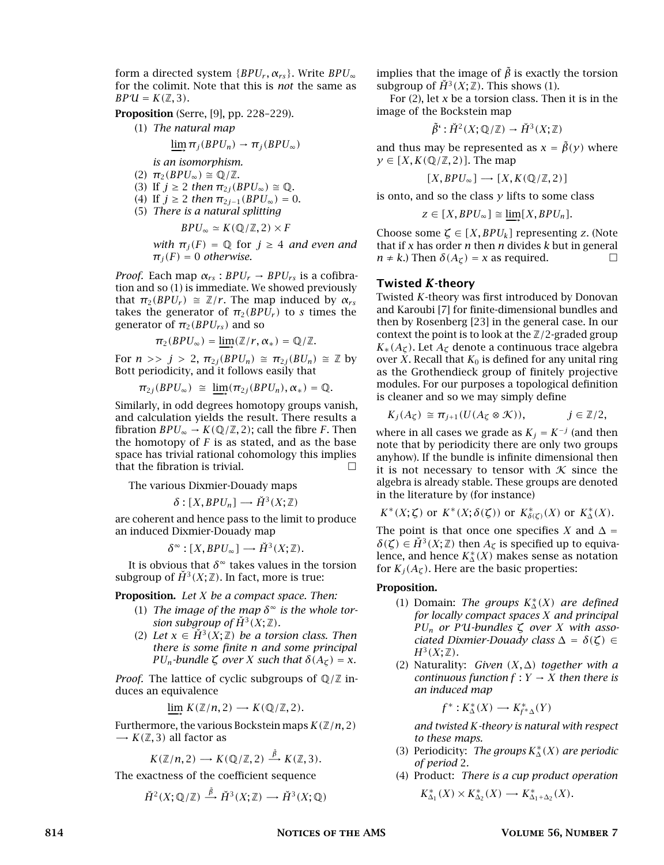form a directed system  $\{BPU_r, \alpha_{rs}\}\$ . Write  $BPU_{\infty}$ for the colimit. Note that this is *not* the same as  $BPU = K(\mathbb{Z}, 3)$ .

Proposition (Serre, [9], pp. 228–229).

(1) *The natural map*

$$
\varinjlim \pi_j(BPU_n) \to \pi_j(BPU_\infty)
$$

*is an isomorphism.*

- $(2)$   $\pi_2(BPU_\infty) \cong \mathbb{Q}/\mathbb{Z}$ .
- (3) If  $j \geq 2$  *then*  $\pi_{2j}(BPU_{\infty}) \cong \mathbb{Q}$ .
- (4) If  $j \ge 2$  *then*  $\pi_{2j-1}(BPU_{\infty}) = 0$ . (5) *There is a natural splitting*

$$
BPU_{\infty} \simeq K(\mathbb{Q}/\mathbb{Z}, 2) \times F
$$

*with*  $\pi_j(F) = \mathbb{Q}$  for  $j \geq 4$  *and even and*  $\pi_i(F) = 0$  *otherwise.* 

*Proof.* Each map  $\alpha_{rs}$ :  $BPU_r \rightarrow BPU_{rs}$  is a cofibration and so (1) is immediate. We showed previously that  $\pi_2(BPU_r) \cong \mathbb{Z}/r$ . The map induced by  $\alpha_{rs}$ takes the generator of  $\pi_2(BPU_r)$  to *s* times the generator of  $\pi_2(BPU_{rs})$  and so

$$
\pi_2(BPU_\infty)=\varinjlim(\mathbb{Z}/r,\alpha_*)=\mathbb{Q}/\mathbb{Z}.
$$

For  $n >> j > 2$ ,  $\pi_{2j}(BPU_n) \cong \pi_{2j}(BU_n) \cong \mathbb{Z}$  by Bott periodicity, and it follows easily that

$$
\pi_{2j}(BPU_{\infty}) \cong \underline{\lim}(\pi_{2j}(BPU_n), \alpha_*) = \mathbb{Q}.
$$

Similarly, in odd degrees homotopy groups vanish, and calculation yields the result. There results a fibration *BPU*<sup>∞</sup> → *K*( $\mathbb{Q}/\mathbb{Z}$ , 2); call the fibre *F*. Then the homotopy of *F* is as stated, and as the base space has trivial rational cohomology this implies that the fibration is trivial.  $\Box$ 

The various Dixmier-Douady maps

 $\delta$  :  $[X, BPU_n] \rightarrow \check{H}^3(X;\mathbb{Z})$ 

are coherent and hence pass to the limit to produce an induced Dixmier-Douady map

$$
\delta^{\infty} : [X, BPU_{\infty}] \longrightarrow \check{H}^{3}(X;\mathbb{Z}).
$$

It is obvious that  $\delta^{\infty}$  takes values in the torsion subgroup of  $\check{H}^3(X;\mathbb{Z})$ . In fact, more is true:

Proposition. *Let X be a compact space. Then:*

- (1) The image of the map  $\delta^{\infty}$  is the whole tor*sion subgroup of*  $\check{H}^3(X;\mathbb{Z})$ *.*
- (2) Let  $x \in H^3(X;\mathbb{Z})$  be a torsion class. Then *there is some finite n and some principal PU<sub>n</sub>*-bundle  $\zeta$  *over*  $X$  *such that*  $\delta(A_{\zeta}) = x$ *.*

*Proof.* The lattice of cyclic subgroups of  $\mathbb{Q}/\mathbb{Z}$  induces an equivalence

$$
\varinjlim\,K({\mathbb Z}/n,2)\longrightarrow K({\mathbb Q}/{\mathbb Z},2).
$$

Furthermore, the various Bockstein maps  $K(\mathbb{Z}/n, 2)$  $\rightarrow$  *K*( $\mathbb{Z}$ , 3) all factor as

$$
K(\mathbb{Z}/n,2) \longrightarrow K(\mathbb{Q}/\mathbb{Z},2) \stackrel{\tilde{\beta}}{\longrightarrow} K(\mathbb{Z},3).
$$

The exactness of the coefficient sequence

$$
\check{H}^2(X;\mathbb{Q}/\mathbb{Z}) \stackrel{\tilde{\beta}}{\longrightarrow} \check{H}^3(X;\mathbb{Z}) \longrightarrow \check{H}^3(X;\mathbb{Q})
$$

implies that the image of  $\tilde{\beta}$  is exactly the torsion subgroup of  $\check{H}^3(X;\mathbb{Z})$ . This shows (1).

For (2), let *x* be a torsion class. Then it is in the image of the Bockstein map

$$
\tilde{\beta}^{\prime} : \check{H}^2(X; \mathbb{Q}/\mathbb{Z}) \to \check{H}^3(X; \mathbb{Z})
$$

and thus may be represented as  $x = \tilde{\beta}(y)$  where  $y \in [X, K(\mathbb{Q}/\mathbb{Z}, 2)]$ . The map

$$
[X, BPU_{\infty}] \longrightarrow [X, K(\mathbb{Q}/\mathbb{Z}, 2)]
$$

is onto, and so the class  $y$  lifts to some class

$$
z \in [X, BPU_{\infty}] \cong \varinjlim [X, BPU_n].
$$

Choose some  $\zeta \in [X, BPU_k]$  representing *z*. (Note that if *x* has order *n* then *n* divides *k* but in general  $n \neq k$ .) Then  $\delta(A_{\zeta}) = x$  as required.

#### Twisted *K*-theory

Twisted *K*-theory was first introduced by Donovan and Karoubi [7] for finite-dimensional bundles and then by Rosenberg [23] in the general case. In our context the point is to look at the Z*/*2-graded group  $K_*(A_{\mathcal{L}})$ . Let  $A_{\mathcal{L}}$  denote a continuous trace algebra over *X*. Recall that  $K_0$  is defined for any unital ring as the Grothendieck group of finitely projective modules. For our purposes a topological definition is cleaner and so we may simply define

$$
K_j(A_{\zeta}) \cong \pi_{j+1}(U(A_{\zeta} \otimes \mathcal{K})), \qquad j \in \mathbb{Z}/2,
$$

where in all cases we grade as  $K_j = K^{-j}$  (and then note that by periodicity there are only two groups anyhow). If the bundle is infinite dimensional then it is not necessary to tensor with  $K$  since the algebra is already stable. These groups are denoted in the literature by (for instance)

$$
K^*(X;\zeta) \text{ or } K^*(X;\delta(\zeta)) \text{ or } K^*_{\delta(\zeta)}(X) \text{ or } K^*_{\Delta}(X).
$$

The point is that once one specifies *X* and  $\Delta$  =  $\delta(\zeta) \in \check{H}^3(X;\mathbb{Z})$  then  $A_{\zeta}$  is specified up to equivalence, and hence  $K_{\Delta}^{*}(X)$  makes sense as notation  $f_{\text{CR}}(X, \Delta)$ . Here are the hasis proportion. for  $K_j(A_\mathcal{L})$ . Here are the basic properties:

#### Proposition.

- (1) Domain: *The groups*  $K_{\Delta}^{*}(X)$  *are defined*  $\epsilon$  *for locally compact masse Y and mineiral for locally compact spaces X and principal*  $PU_n$  *or*  $PU$ *-bundles*  $\zeta$  *over*  $X$  *with associated Dixmier-Douady class* <sup>∆</sup> <sup>=</sup> *δ(ζ)* <sup>∈</sup>  $H^3(X; \mathbb{Z})$ *.*
- (2) Naturality: *Given (X,* <sup>∆</sup>*) together with a continuous function*  $f: Y \rightarrow X$  *then there is an induced map*

$$
f^*:K^*_\Delta(X)\longrightarrow K^*_{f^*\Delta}(Y)
$$

*and twisted K-theory is natural with respect to these maps.*

- (3) Periodicity: *The groups*  $K^*_{\Delta}(X)$  *are periodic*  $\int_{0}^{x}$  *af pariod* 2 *of period* 2*.*
- (4) Product: *There is a cup product operation*

$$
K_{\Delta_1}^*(X) \times K_{\Delta_2}^*(X) \longrightarrow K_{\Delta_1 + \Delta_2}^*(X).
$$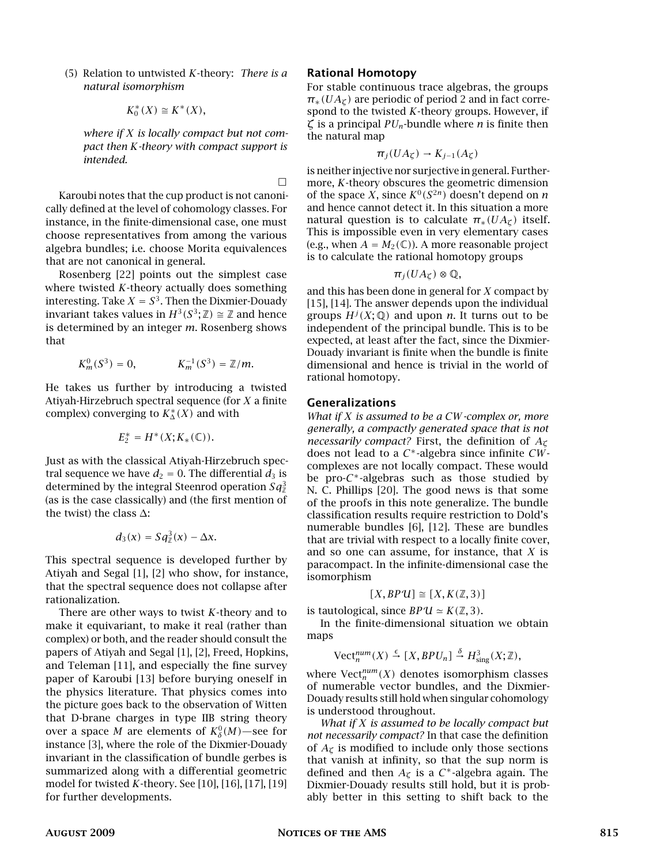(5) Relation to untwisted *K*-theory: *There is a natural isomorphism*

$$
K_0^*(X) \cong K^*(X),
$$

*where if X is locally compact but not compact then K-theory with compact support is intended.*

Karoubi notes that the cup product is not canonically defined at the level of cohomology classes. For instance, in the finite-dimensional case, one must choose representatives from among the various algebra bundles; i.e. choose Morita equivalences that are not canonical in general.

Rosenberg [22] points out the simplest case where twisted *K*-theory actually does something interesting. Take  $X = S^3$ . Then the Dixmier-Douady invariant takes values in  $H^3(S^3; \mathbb{Z}) \cong \mathbb{Z}$  and hence is determined by an integer *m*. Rosenberg shows that

$$
K_m^0(S^3) = 0,
$$
  $K_m^{-1}(S^3) = \mathbb{Z}/m.$ 

He takes us further by introducing a twisted Atiyah-Hirzebruch spectral sequence (for *X* a finite complex) converging to  $K^*_{\Delta}(X)$  and with

$$
E_2^* = H^*(X; K_*(\mathbb{C})).
$$

Just as with the classical Atiyah-Hirzebruch spectral sequence we have  $d_2 = 0$ . The differential  $d_3$  is determined by the integral Steenrod operation  $Sq^3$ (as is the case classically) and (the first mention of the twist) the class  $\Delta$ :

$$
d_3(x)=Sq_{\mathbb{Z}}^3(x)-\Delta x.
$$

This spectral sequence is developed further by Atiyah and Segal [1], [2] who show, for instance, that the spectral sequence does not collapse after rationalization.

There are other ways to twist *K*-theory and to make it equivariant, to make it real (rather than complex) or both, and the reader should consult the papers of Atiyah and Segal [1], [2], Freed, Hopkins, and Teleman [11], and especially the fine survey paper of Karoubi [13] before burying oneself in the physics literature. That physics comes into the picture goes back to the observation of Witten that D-brane charges in type IIB string theory over a space *M* are elements of  $K^0_\delta(M)$ —see for instance [3], where the role of the Dixmier-Douady invariant in the classification of bundle gerbes is summarized along with a differential geometric model for twisted *K*-theory. See [10], [16], [17], [19] for further developments.

#### Rational Homotopy

 $\Box$ 

For stable continuous trace algebras, the groups  $\pi_*(U A_{\zeta})$  are periodic of period 2 and in fact correspond to the twisted *K*-theory groups. However, if *ζ* is a principal *PUn*-bundle where *n* is finite then the natural map

$$
\pi_j(UA_\zeta)\to K_{j-1}(A_\zeta)
$$

is neither injective nor surjective in general. Furthermore, *K*-theory obscures the geometric dimension of the space *X*, since  $K^0(S^{2n})$  doesn't depend on *n* and hence cannot detect it. In this situation a more natural question is to calculate  $\pi_*(U A_\zeta)$  itself. This is impossible even in very elementary cases (e.g., when  $A = M_2(\mathbb{C})$ ). A more reasonable project is to calculate the rational homotopy groups

$$
\pi_j(UA_\zeta)\otimes\mathbb{Q},
$$

and this has been done in general for *X* compact by [15], [14]. The answer depends upon the individual groups  $H^{j}(X; \mathbb{Q})$  and upon *n*. It turns out to be independent of the principal bundle. This is to be expected, at least after the fact, since the Dixmier-Douady invariant is finite when the bundle is finite dimensional and hence is trivial in the world of rational homotopy.

#### Generalizations

*What if X is assumed to be a CW-complex or, more generally, a compactly generated space that is not necessarily compact?* First, the definition of *A<sup>ζ</sup>* does not lead to a *C* <sup>∗</sup>-algebra since infinite *CW*complexes are not locally compact. These would be pro-*C* <sup>∗</sup>-algebras such as those studied by N. C. Phillips [20]. The good news is that some of the proofs in this note generalize. The bundle classification results require restriction to Dold's numerable bundles [6], [12]. These are bundles that are trivial with respect to a locally finite cover, and so one can assume, for instance, that *X* is paracompact. In the infinite-dimensional case the isomorphism

$$
[X, BPU] \cong [X, K(\mathbb{Z}, 3)]
$$

is tautological, since  $BPU \simeq K(\mathbb{Z}, 3)$ .

In the finite-dimensional situation we obtain maps

 $\text{Vect}_n^{\text{num}}(X) \stackrel{\epsilon}{\rightarrow} [X, BPU_n] \stackrel{\delta}{\rightarrow} H^3_{\text{sing}}(X; \mathbb{Z}),$ 

where  $\mathrm{Vect}^{num}_n(X)$  denotes isomorphism classes of numerable vector bundles, and the Dixmier-Douady results still hold when singular cohomology is understood throughout.

*What if X is assumed to be locally compact but not necessarily compact?* In that case the definition of  $A_\zeta$  is modified to include only those sections that vanish at infinity, so that the sup norm is defined and then  $A_{\zeta}$  is a  $C^*$ -algebra again. The Dixmier-Douady results still hold, but it is probably better in this setting to shift back to the